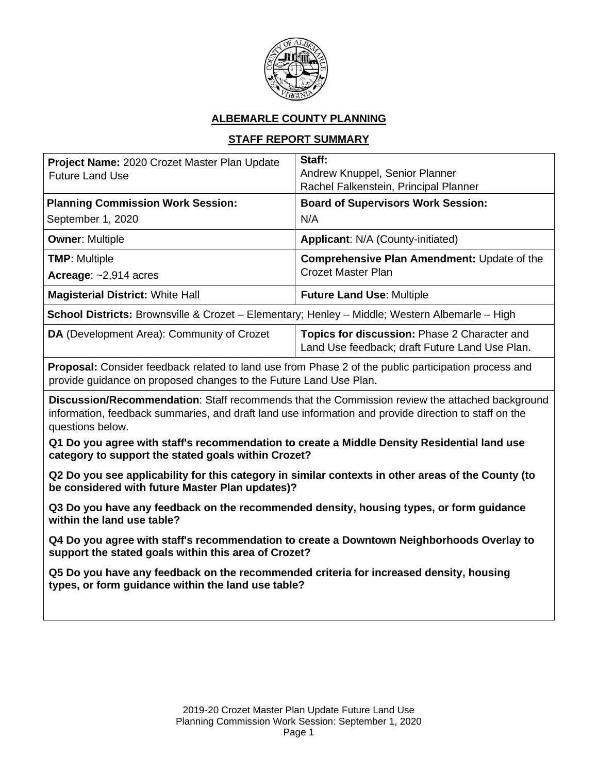

# **ALBEMARLE COUNTY PLANNING**

# **STAFF REPORT SUMMARY**

| Project Name: 2020 Crozet Master Plan Update<br><b>Future Land Use</b>                                                                                                                                                      | Staff:<br>Andrew Knuppel, Senior Planner<br>Rachel Falkenstein, Principal Planner              |
|-----------------------------------------------------------------------------------------------------------------------------------------------------------------------------------------------------------------------------|------------------------------------------------------------------------------------------------|
| <b>Planning Commission Work Session:</b>                                                                                                                                                                                    | <b>Board of Supervisors Work Session:</b>                                                      |
| September 1, 2020                                                                                                                                                                                                           | N/A                                                                                            |
| <b>Owner: Multiple</b>                                                                                                                                                                                                      | Applicant: N/A (County-initiated)                                                              |
| <b>TMP: Multiple</b>                                                                                                                                                                                                        | <b>Comprehensive Plan Amendment: Update of the</b>                                             |
| Acreage: ~2,914 acres                                                                                                                                                                                                       | <b>Crozet Master Plan</b>                                                                      |
| <b>Magisterial District: White Hall</b>                                                                                                                                                                                     | <b>Future Land Use: Multiple</b>                                                               |
| School Districts: Brownsville & Crozet - Elementary; Henley - Middle; Western Albemarle - High                                                                                                                              |                                                                                                |
| DA (Development Area): Community of Crozet                                                                                                                                                                                  | Topics for discussion: Phase 2 Character and<br>Land Use feedback; draft Future Land Use Plan. |
| <b>Proposal:</b> Consider feedback related to land use from Phase 2 of the public participation process and<br>provide guidance on proposed changes to the Future Land Use Plan.                                            |                                                                                                |
| Discussion/Recommendation: Staff recommends that the Commission review the attached background<br>information, feedback summaries, and draft land use information and provide direction to staff on the<br>questions below. |                                                                                                |
| Q1 Do you agree with staff's recommendation to create a Middle Density Residential land use<br>category to support the stated goals within Crozet?                                                                          |                                                                                                |
| Q2 Do you see applicability for this category in similar contexts in other areas of the County (to<br>be considered with future Master Plan updates)?                                                                       |                                                                                                |
| Q3 Do you have any feedback on the recommended density, housing types, or form guidance<br>within the land use table?                                                                                                       |                                                                                                |

**Q4 Do you agree with staff's recommendation to create a Downtown Neighborhoods Overlay to support the stated goals within this area of Crozet?** 

**Q5 Do you have any feedback on the recommended criteria for increased density, housing types, or form guidance within the land use table?**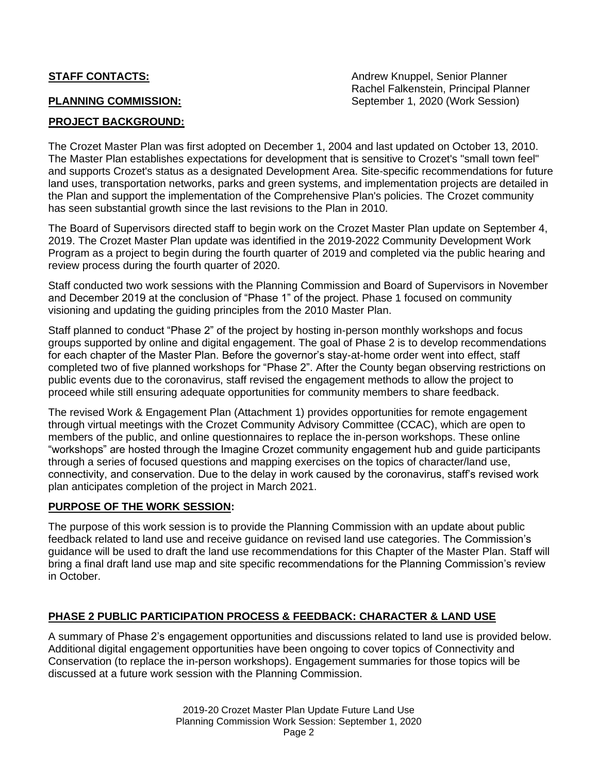**STAFF CONTACTS:** Andrew Knuppel, Senior Planner Rachel Falkenstein, Principal Planner **PLANNING COMMISSION:** September 1, 2020 (Work Session)

## **PROJECT BACKGROUND:**

The Crozet Master Plan was first adopted on December 1, 2004 and last updated on October 13, 2010. The Master Plan establishes expectations for development that is sensitive to Crozet's "small town feel" and supports Crozet's status as a designated Development Area. Site-specific recommendations for future land uses, transportation networks, parks and green systems, and implementation projects are detailed in the Plan and support the implementation of the Comprehensive Plan's policies. The Crozet community has seen substantial growth since the last revisions to the Plan in 2010.

The Board of Supervisors directed staff to begin work on the Crozet Master Plan update on September 4, 2019. The Crozet Master Plan update was identified in the 2019-2022 Community Development Work Program as a project to begin during the fourth quarter of 2019 and completed via the public hearing and review process during the fourth quarter of 2020.

Staff conducted two work sessions with the Planning Commission and Board of Supervisors in November and December 2019 at the conclusion of "Phase 1" of the project. Phase 1 focused on community visioning and updating the guiding principles from the 2010 Master Plan.

Staff planned to conduct "Phase 2" of the project by hosting in-person monthly workshops and focus groups supported by online and digital engagement. The goal of Phase 2 is to develop recommendations for each chapter of the Master Plan. Before the governor's stay-at-home order went into effect, staff completed two of five planned workshops for "Phase 2". After the County began observing restrictions on public events due to the coronavirus, staff revised the engagement methods to allow the project to proceed while still ensuring adequate opportunities for community members to share feedback.

The revised Work & Engagement Plan (Attachment 1) provides opportunities for remote engagement through virtual meetings with the Crozet Community Advisory Committee (CCAC), which are open to members of the public, and online questionnaires to replace the in-person workshops. These online "workshops" are hosted through the Imagine Crozet community engagement hub and guide participants through a series of focused questions and mapping exercises on the topics of character/land use, connectivity, and conservation. Due to the delay in work caused by the coronavirus, staff's revised work plan anticipates completion of the project in March 2021.

### **PURPOSE OF THE WORK SESSION:**

The purpose of this work session is to provide the Planning Commission with an update about public feedback related to land use and receive guidance on revised land use categories. The Commission's guidance will be used to draft the land use recommendations for this Chapter of the Master Plan. Staff will bring a final draft land use map and site specific recommendations for the Planning Commission's review in October.

## **PHASE 2 PUBLIC PARTICIPATION PROCESS & FEEDBACK: CHARACTER & LAND USE**

A summary of Phase 2's engagement opportunities and discussions related to land use is provided below. Additional digital engagement opportunities have been ongoing to cover topics of Connectivity and Conservation (to replace the in-person workshops). Engagement summaries for those topics will be discussed at a future work session with the Planning Commission.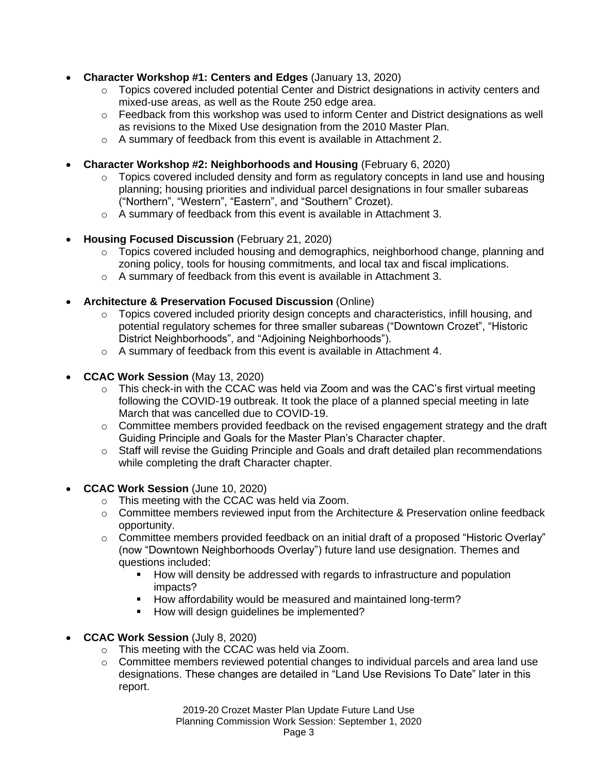- **Character Workshop #1: Centers and Edges** (January 13, 2020)
	- $\circ$  Topics covered included potential Center and District designations in activity centers and mixed-use areas, as well as the Route 250 edge area.
	- $\circ$  Feedback from this workshop was used to inform Center and District designations as well as revisions to the Mixed Use designation from the 2010 Master Plan.
	- o A summary of feedback from this event is available in Attachment 2.
- **Character Workshop #2: Neighborhoods and Housing** (February 6, 2020)
	- $\circ$  Topics covered included density and form as regulatory concepts in land use and housing planning; housing priorities and individual parcel designations in four smaller subareas ("Northern", "Western", "Eastern", and "Southern" Crozet).
	- $\circ$  A summary of feedback from this event is available in Attachment 3.
- **Housing Focused Discussion** (February 21, 2020)
	- $\circ$  Topics covered included housing and demographics, neighborhood change, planning and zoning policy, tools for housing commitments, and local tax and fiscal implications.
	- o A summary of feedback from this event is available in Attachment 3.
- **Architecture & Preservation Focused Discussion** (Online)
	- $\circ$  Topics covered included priority design concepts and characteristics, infill housing, and potential regulatory schemes for three smaller subareas ("Downtown Crozet", "Historic District Neighborhoods", and "Adjoining Neighborhoods").
	- $\circ$  A summary of feedback from this event is available in Attachment 4.
- **CCAC Work Session** (May 13, 2020)
	- $\circ$  This check-in with the CCAC was held via Zoom and was the CAC's first virtual meeting following the COVID-19 outbreak. It took the place of a planned special meeting in late March that was cancelled due to COVID-19.
	- $\circ$  Committee members provided feedback on the revised engagement strategy and the draft Guiding Principle and Goals for the Master Plan's Character chapter.
	- $\circ$  Staff will revise the Guiding Principle and Goals and draft detailed plan recommendations while completing the draft Character chapter.
- **CCAC Work Session** (June 10, 2020)
	- o This meeting with the CCAC was held via Zoom.
	- $\circ$  Committee members reviewed input from the Architecture & Preservation online feedback opportunity.
	- o Committee members provided feedback on an initial draft of a proposed "Historic Overlay" (now "Downtown Neighborhoods Overlay") future land use designation. Themes and questions included:
		- How will density be addressed with regards to infrastructure and population impacts?
		- How affordability would be measured and maintained long-term?
		- How will design guidelines be implemented?
- **CCAC Work Session** (July 8, 2020)
	- o This meeting with the CCAC was held via Zoom.
	- $\circ$  Committee members reviewed potential changes to individual parcels and area land use designations. These changes are detailed in "Land Use Revisions To Date" later in this report.

2019-20 Crozet Master Plan Update Future Land Use Planning Commission Work Session: September 1, 2020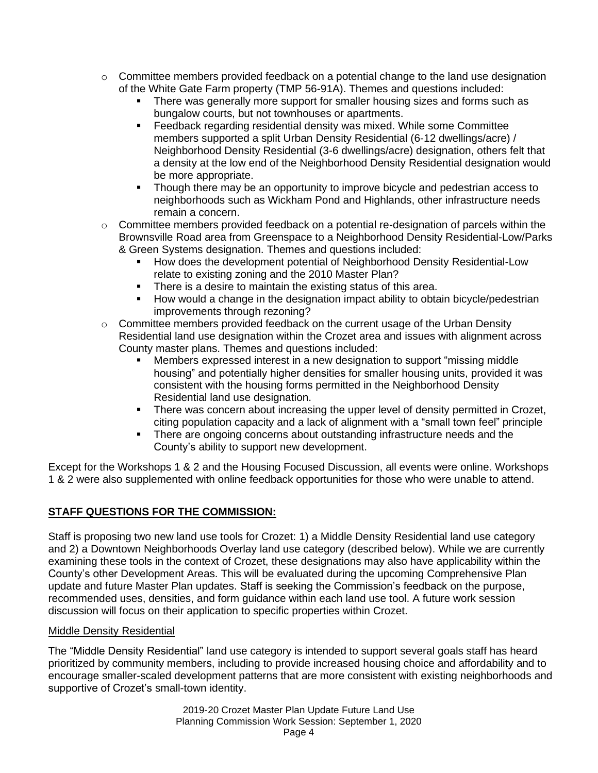- $\circ$  Committee members provided feedback on a potential change to the land use designation of the White Gate Farm property (TMP 56-91A). Themes and questions included:
	- There was generally more support for smaller housing sizes and forms such as bungalow courts, but not townhouses or apartments.
	- Feedback regarding residential density was mixed. While some Committee members supported a split Urban Density Residential (6-12 dwellings/acre) / Neighborhood Density Residential (3-6 dwellings/acre) designation, others felt that a density at the low end of the Neighborhood Density Residential designation would be more appropriate.
	- Though there may be an opportunity to improve bicycle and pedestrian access to neighborhoods such as Wickham Pond and Highlands, other infrastructure needs remain a concern.
- o Committee members provided feedback on a potential re-designation of parcels within the Brownsville Road area from Greenspace to a Neighborhood Density Residential-Low/Parks & Green Systems designation. Themes and questions included:
	- How does the development potential of Neighborhood Density Residential-Low relate to existing zoning and the 2010 Master Plan?
	- There is a desire to maintain the existing status of this area.
	- How would a change in the designation impact ability to obtain bicycle/pedestrian improvements through rezoning?
- $\circ$  Committee members provided feedback on the current usage of the Urban Density Residential land use designation within the Crozet area and issues with alignment across County master plans. Themes and questions included:
	- Members expressed interest in a new designation to support "missing middle" housing" and potentially higher densities for smaller housing units, provided it was consistent with the housing forms permitted in the Neighborhood Density Residential land use designation.
	- **•** There was concern about increasing the upper level of density permitted in Crozet, citing population capacity and a lack of alignment with a "small town feel" principle
	- **•** There are ongoing concerns about outstanding infrastructure needs and the County's ability to support new development.

Except for the Workshops 1 & 2 and the Housing Focused Discussion, all events were online. Workshops 1 & 2 were also supplemented with online feedback opportunities for those who were unable to attend.

# **STAFF QUESTIONS FOR THE COMMISSION:**

Staff is proposing two new land use tools for Crozet: 1) a Middle Density Residential land use category and 2) a Downtown Neighborhoods Overlay land use category (described below). While we are currently examining these tools in the context of Crozet, these designations may also have applicability within the County's other Development Areas. This will be evaluated during the upcoming Comprehensive Plan update and future Master Plan updates. Staff is seeking the Commission's feedback on the purpose, recommended uses, densities, and form guidance within each land use tool. A future work session discussion will focus on their application to specific properties within Crozet.

# Middle Density Residential

The "Middle Density Residential" land use category is intended to support several goals staff has heard prioritized by community members, including to provide increased housing choice and affordability and to encourage smaller-scaled development patterns that are more consistent with existing neighborhoods and supportive of Crozet's small-town identity.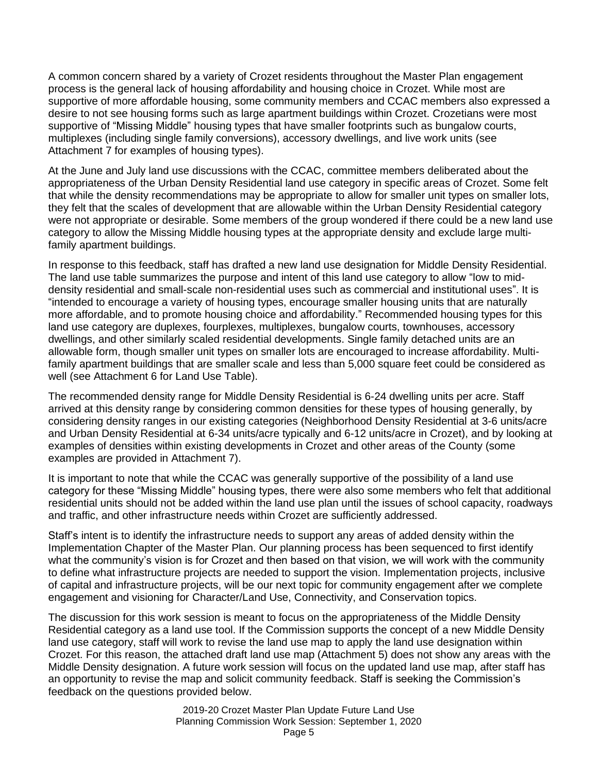A common concern shared by a variety of Crozet residents throughout the Master Plan engagement process is the general lack of housing affordability and housing choice in Crozet. While most are supportive of more affordable housing, some community members and CCAC members also expressed a desire to not see housing forms such as large apartment buildings within Crozet. Crozetians were most supportive of "Missing Middle" housing types that have smaller footprints such as bungalow courts, multiplexes (including single family conversions), accessory dwellings, and live work units (see Attachment 7 for examples of housing types).

At the June and July land use discussions with the CCAC, committee members deliberated about the appropriateness of the Urban Density Residential land use category in specific areas of Crozet. Some felt that while the density recommendations may be appropriate to allow for smaller unit types on smaller lots, they felt that the scales of development that are allowable within the Urban Density Residential category were not appropriate or desirable. Some members of the group wondered if there could be a new land use category to allow the Missing Middle housing types at the appropriate density and exclude large multifamily apartment buildings.

In response to this feedback, staff has drafted a new land use designation for Middle Density Residential. The land use table summarizes the purpose and intent of this land use category to allow "low to middensity residential and small-scale non-residential uses such as commercial and institutional uses". It is "intended to encourage a variety of housing types, encourage smaller housing units that are naturally more affordable, and to promote housing choice and affordability." Recommended housing types for this land use category are duplexes, fourplexes, multiplexes, bungalow courts, townhouses, accessory dwellings, and other similarly scaled residential developments. Single family detached units are an allowable form, though smaller unit types on smaller lots are encouraged to increase affordability. Multifamily apartment buildings that are smaller scale and less than 5,000 square feet could be considered as well (see Attachment 6 for Land Use Table).

The recommended density range for Middle Density Residential is 6-24 dwelling units per acre. Staff arrived at this density range by considering common densities for these types of housing generally, by considering density ranges in our existing categories (Neighborhood Density Residential at 3-6 units/acre and Urban Density Residential at 6-34 units/acre typically and 6-12 units/acre in Crozet), and by looking at examples of densities within existing developments in Crozet and other areas of the County (some examples are provided in Attachment 7).

It is important to note that while the CCAC was generally supportive of the possibility of a land use category for these "Missing Middle" housing types, there were also some members who felt that additional residential units should not be added within the land use plan until the issues of school capacity, roadways and traffic, and other infrastructure needs within Crozet are sufficiently addressed.

Staff's intent is to identify the infrastructure needs to support any areas of added density within the Implementation Chapter of the Master Plan. Our planning process has been sequenced to first identify what the community's vision is for Crozet and then based on that vision, we will work with the community to define what infrastructure projects are needed to support the vision. Implementation projects, inclusive of capital and infrastructure projects, will be our next topic for community engagement after we complete engagement and visioning for Character/Land Use, Connectivity, and Conservation topics.

The discussion for this work session is meant to focus on the appropriateness of the Middle Density Residential category as a land use tool. If the Commission supports the concept of a new Middle Density land use category, staff will work to revise the land use map to apply the land use designation within Crozet. For this reason, the attached draft land use map (Attachment 5) does not show any areas with the Middle Density designation. A future work session will focus on the updated land use map, after staff has an opportunity to revise the map and solicit community feedback. Staff is seeking the Commission's feedback on the questions provided below.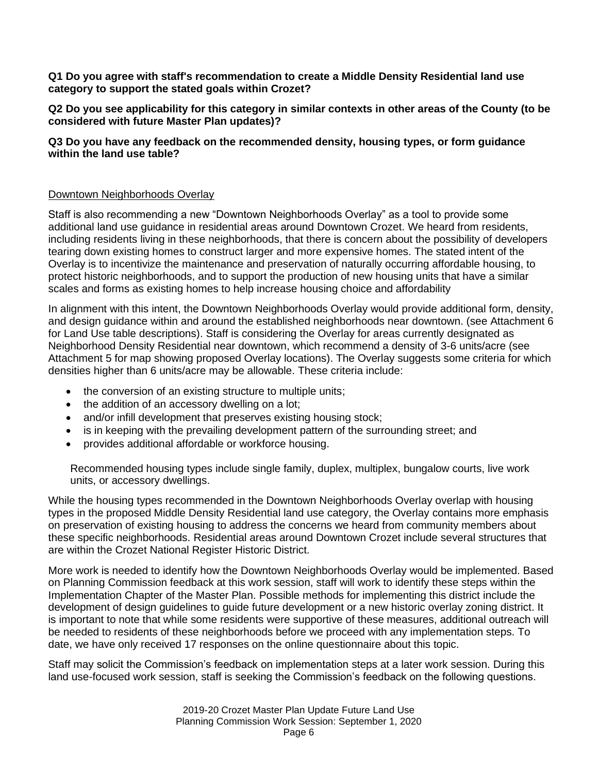**Q1 Do you agree with staff's recommendation to create a Middle Density Residential land use category to support the stated goals within Crozet?** 

**Q2 Do you see applicability for this category in similar contexts in other areas of the County (to be considered with future Master Plan updates)?** 

## **Q3 Do you have any feedback on the recommended density, housing types, or form guidance within the land use table?**

## Downtown Neighborhoods Overlay

Staff is also recommending a new "Downtown Neighborhoods Overlay" as a tool to provide some additional land use guidance in residential areas around Downtown Crozet. We heard from residents, including residents living in these neighborhoods, that there is concern about the possibility of developers tearing down existing homes to construct larger and more expensive homes. The stated intent of the Overlay is to incentivize the maintenance and preservation of naturally occurring affordable housing, to protect historic neighborhoods, and to support the production of new housing units that have a similar scales and forms as existing homes to help increase housing choice and affordability

In alignment with this intent, the Downtown Neighborhoods Overlay would provide additional form, density, and design guidance within and around the established neighborhoods near downtown. (see Attachment 6 for Land Use table descriptions). Staff is considering the Overlay for areas currently designated as Neighborhood Density Residential near downtown, which recommend a density of 3-6 units/acre (see Attachment 5 for map showing proposed Overlay locations). The Overlay suggests some criteria for which densities higher than 6 units/acre may be allowable. These criteria include:

- the conversion of an existing structure to multiple units;
- the addition of an accessory dwelling on a lot;
- and/or infill development that preserves existing housing stock;
- is in keeping with the prevailing development pattern of the surrounding street; and
- provides additional affordable or workforce housing.

Recommended housing types include single family, duplex, multiplex, bungalow courts, live work units, or accessory dwellings.

While the housing types recommended in the Downtown Neighborhoods Overlay overlap with housing types in the proposed Middle Density Residential land use category, the Overlay contains more emphasis on preservation of existing housing to address the concerns we heard from community members about these specific neighborhoods. Residential areas around Downtown Crozet include several structures that are within the Crozet National Register Historic District.

More work is needed to identify how the Downtown Neighborhoods Overlay would be implemented. Based on Planning Commission feedback at this work session, staff will work to identify these steps within the Implementation Chapter of the Master Plan. Possible methods for implementing this district include the development of design guidelines to guide future development or a new historic overlay zoning district. It is important to note that while some residents were supportive of these measures, additional outreach will be needed to residents of these neighborhoods before we proceed with any implementation steps. To date, we have only received 17 responses on the online questionnaire about this topic.

Staff may solicit the Commission's feedback on implementation steps at a later work session. During this land use-focused work session, staff is seeking the Commission's feedback on the following questions.